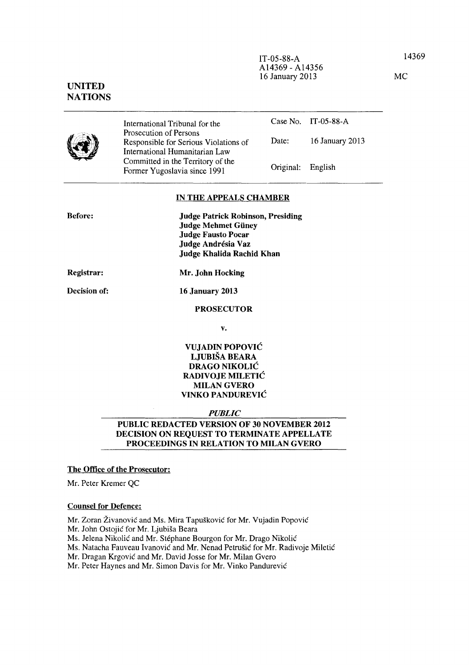MC

IT-05-88-A A14369 - A14356 16 January 2013

# UNITED **NATIONS**

|--|

International Tribunal for the Prosecution of Persons Responsible for Serious Violations of International Humanitarian Law Committed in the Territory of the Former Yugoslavia since 1991 Case No. IT-05-88-A Date: 16 January 2013 Original: English

### IN THE APPEALS CHAMBER

| <b>Before:</b> | <b>Judge Patrick Robinson, Presiding</b> |
|----------------|------------------------------------------|
|                | <b>Judge Mehmet Güney</b>                |
|                | <b>Judge Fausto Pocar</b>                |
|                | Judge Andrésia Vaz                       |
|                | Judge Khalida Rachid Khan                |
|                |                                          |

Registrar:

Decision of:

Mr. John Hocking

16 January 2013

PROSECUTOR

v.

## VUJADIN POPOVIC LJUBISA BEARA DRAGO NIKOLIC RADIVOJE MILETIC MILAN GVERO VINKO PANDUREVIC

## *PUBLIC*

# PUBLIC REDACTED VERSION OF 30 NOVEMBER 2012 DECISION ON REQUEST TO TERMINATE APPELLATE PROCEEDINGS IN RELATION TO MILAN GVERO

# The Office of the Prosecutor:

Mr. Peter Kremer QC

### Counsel for Defence:

Mr. Zoran Živanović and Ms. Mira Tapušković for Mr. Vujadin Popović

Mr. John Ostojic for Mr. Ljubisa Beara

Ms. Jelena Nikolic and Mr. Stephane Bourgon for Mr. Drago Nikolic

Ms. Natacha Fauveau Ivanovic and Mr. Nenad Petrusic for Mr. Radivoje Miletic

Mr. Dragan Krgovic and Mr. David Josse for Mr. Milan Gvero

Mr. Peter Haynes and Mr. Simon Davis for Mr. Vinko Pandurevic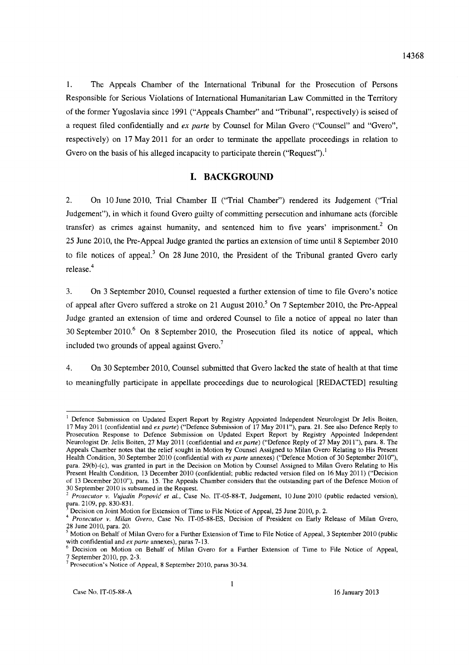1. The Appeals Chamber of the International Tribunal for the Prosecution of Persons Responsible for Serious Violations of International Humanitarian Law Committed in the Territory of the former Yugoslavia since 1991 ("Appeals Chamber" and "Tribunal", respectively) is seised of a request filed confidentially and *ex parte* by Counsel for Milan Gvero ("Counsel" and "Gvero", respectively) on 17 May 2011 for an order to terminate the appellate proceedings in relation to Gvero on the basis of his alleged incapacity to participate therein ("Request").<sup>1</sup>

# **I. BACKGROUND**

2. On 10 June 2010, Trial Chamber 11 ("Trial Chamber") rendered its Judgement ("Trial Judgement"), in which it found Gvero guilty of committing persecution and inhumane acts (forcible transfer) as crimes against humanity, and sentenced him to five years' imprisonment? On 25 June 2010, the Pre-Appeal Judge granted the parties an extension of time until 8 September 2010 to file notices of appeal? On 28 June 2010, the President of the Tribunal granted Gvero early release.<sup>4</sup>

3. On 3 September 2010, Counsel requested a further extension of time to file Gvero's notice of appeal after Gvero suffered a stroke on 21 August 2010.<sup>5</sup> On 7 September 2010, the Pre-Appeal Judge granted an extension of time and ordered Counsel to file a notice of appeal no later than 30 September 2010.<sup>6</sup> On 8 September 2010, the Prosecution filed its notice of appeal, which included two grounds of appeal against Gvero?

4. On 30 September 2010, Counsel submitted that Gvero lacked the state of health at that time to meaningfully participate in appellate proceedings due to neurological [REDACTED] resulting

<sup>&</sup>lt;sup>1</sup> Defence Submission on Updated Expert Report by Registry Appointed Independent Neurologist Dr Jelis Boiten, 17 May 2011 (confidential and *ex parte)* ("Defence Submission of 17 May 2011"), para. 21. See also Defence Reply to Prosecution Response to Defence Submission on Updated Expert Report by Registry Appointed Independent Neurologist Dr. Jelis Boiten, 27 May 2011 (confidential and *ex parte)* ("Defence Reply of 27 May 2011"), para. 8. The Appeals Chamber notes that the relief sought in Motion by Counsel Assigned to Milan Gvero Relating to His Present Health Condition, 30 September 2010 (confidential with *ex parte* annexes) ("Defence Motion of 30 September 2010"), para. 29(b)-(c), was granted in part in the Decision on Motion by Counsel Assigned to Milan Gvero Relating to His Present Health Condition, 13 December 2010 (confidential; public redacted version filed on 16 May 2011) ("Decision of 13 December 2010"), para. 15. The Appeals Chamber considers that the outstanding part of the Defence Motion of 30 September 2010 is subsumed in the Request.<br> $\frac{2 \text{ } P_{\text{R}}}{P_{\text{R}}P_{\text{R}}P_{\text{R}}P_{\text{R}}P_{\text{R}}P_{\text{R}}P_{\text{R}}P_{\text{R}}P_{\text{R}}P_{\text{R}}P_{\text{R}}P_{\text{R}}P_{\text{R}}P_{\text{R}}P_{\text{R}}P_{\text{R}}P_{\text{R}}P_{\text{R}}P_{\text{R}}P_{\text{R}}P_{\text{R}}P_{\text{R}}P_{\text$ 

<sup>&</sup>lt;sup>2</sup> Prosecutor v. Vujadin Popović et al., Case No. IT-05-88-T, Judgement, 10 June 2010 (public redacted version), para. 2109, pp. 830-831.

Decision on Joint Motion for Extension of Time to File Notice of Appeal, 25 June 2010, p. 2.

<sup>4</sup>*Prosecutor v. Milan Gvero,* Case No. IT-05-88-ES, Decision of President on Early Release of Milan Gvero, 28 June 2010, para. 20.

 $5$  Motion on Behalf of Milan Gvero for a Further Extension of Time to File Notice of Appeal, 3 September 2010 (public with confidential and *ex parte* annexes), paras 7-13.

<sup>6</sup> Decision on Motion on Behalf of Milan Gvero for a Further Extension of Time to File Notice of Appeal, 7 September 2010, pp. 2-3.

<sup>7</sup> Prosecution's Notice of Appeal, 8 September 2010, paras 30-34.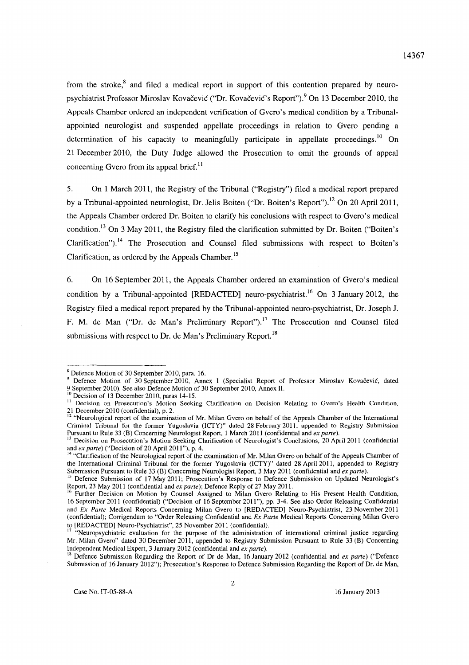from the stroke, $\frac{8}{3}$  and filed a medical report in support of this contention prepared by neuropsychiatrist Professor Miroslav Kovačević ("Dr. Kovačević's Report").<sup>9</sup> On 13 December 2010, the Appeals Chamber ordered an independent verification of Gvero's medical condition by a Tribunalappointed neurologist and suspended appellate proceedings in relation to Gvero pending a determination of his capacity to meaningfully participate in appellate proceedings.<sup>10</sup> On 21 December 2010, the Duty Judge allowed the Prosecution to omit the grounds of appeal concerning Gvero from its appeal brief. $<sup>11</sup>$ </sup>

5. On 1 March 2011, the Registry of the Tribunal ("Registry") filed a medical report prepared by a Tribunal-appointed neurologist, Dr. Jelis Boiten ("Dr. Boiten's Report").<sup>12</sup> On 20 April 2011, the Appeals Chamber ordered Dr. Boiten to clarify his conclusions with respect to Gvero's medical condition.<sup>13</sup> On 3 May 2011, the Registry filed the clarification submitted by Dr. Boiten ("Boiten's Clarification").<sup>14</sup> The Prosecution and Counsel filed submissions with respect to Boiten's Clarification, as ordered by the Appeals Chamber. 15

6. On 16 September 2011, the Appeals Chamber ordered an examination of Gvero's medical condition by a Tribunal-appointed [REDACTED] neuro-psychiatrist.<sup>16</sup> On 3 January 2012, the Registry filed a medical report prepared by the Tribunal-appointed neuro-psychiatrist, Dr. Joseph J. F. M. de Man ("Dr. de Man's Preliminary Report").<sup>17</sup> The Prosecution and Counsel filed submissions with respect to Dr. de Man's Preliminary Report.<sup>18</sup>

 $8$  Defence Motion of 30 September 2010, para. 16.

<sup>&</sup>lt;sup>9</sup> Defence Motion of 30 September 2010, Annex I (Specialist Report of Professor Miroslav Kovačević, dated 9 September 2010). See also Defence Motion of 30 September 2010, Annex II.<br><sup>10</sup> Decision of 13 December 2010, paras 14-15.

<sup>&</sup>lt;sup>11</sup> Decision on Prosecution's Motion Seeking Clarification on Decision Relating to Gvero's Health Condition, 21 December 2010 (confidential), p. 2.

 $12$  "Neurological report of the examination of Mr. Milan Gvero on behalf of the Appeals Chamber of the International Criminal Tribunal for the former Yugoslavia (ICTY)" dated 28 February 2011, appended to Registry Submission Pursuant to Rule 33 (8) Concerning Neurologist Report, 1 March 2011 (confidential and *ex parte).* 

<sup>&</sup>lt;sup>13</sup> Decision on Prosecution's Motion Seeking Clarification of Neurologist's Conclusions, 20 April 2011 (confidential and *ex parte*) ("Decision of 20 April 2011"), p. 4.

<sup>&</sup>lt;sup>14</sup> "Clarification of the Neurological report of the examination of Mr. Milan Gvero on behalf of the Appeals Chamber of the International Criminal Tribunal for the former Yugoslavia (lCTY)" dated 28 April 2011, appended to Registry Submission Pursuant to Rule 33 (8) Concerning Neurologist Report, 3 May 2011 (confidential and *ex parte).* 

<sup>&</sup>lt;sup>1</sup> Defence Submission of 17 May 2011; Prosecution's Response to Defence Submission on Updated Neurologist's Report, 23 May 2011 (confidential and *ex parte);* Defence Reply of 27 May 2011.

<sup>&</sup>lt;sup>16</sup> Further Decision on Motion by Counsel Assigned to Milan Gvero Relating to His Present Health Condition, 16 September 2011 (confidential) ("Decision of 16 September 2011"), pp. 3-4. See also Order Releasing Confidential and *Ex Parte* Medical Reports Concerning Milan Gvero to [REDACTED] Neuro-Psychiatrist, 23 November 2011 (confidential); Corrigendum to "Order ReleaSing Confidential and *Ex Parte* Medical Reports Concerning Milan Gvero to [REDACTED] Neuro-Psychiatrist", 25 November 2011 (confidential).

<sup>17 &</sup>quot;Neuropsychiatric evaluation for the purpose of the administration of international criminal justice regarding Mr. Milan Gvero" dated 30 December 2011, appended to Registry Submission Pursuant to Rule 33 (8) Concerning Independent Medical Expert, 3 January 2012 (confidential and *ex parte).* 

<sup>&</sup>lt;sup>18</sup> Defence Submission Regarding the Report of Dr de Man, 16 January 2012 (confidential and *ex parte*) ("Defence Submission of 16 January 2012"); Prosecution's Response to Defence Submission Regarding the Report of Dr. de Man,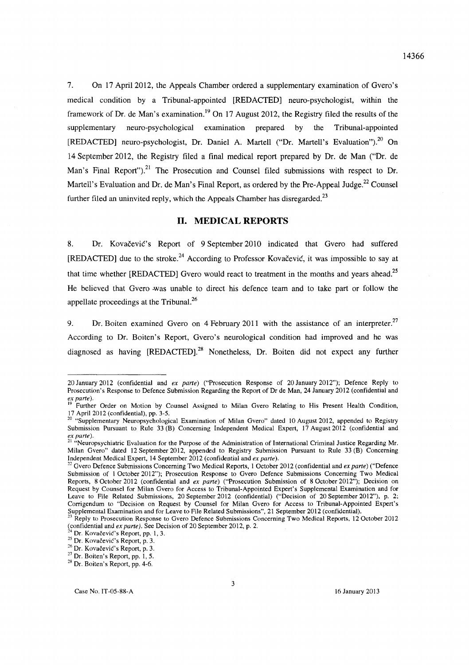7. On 17 April 2012, the Appeals Chamber ordered a supplementary examination of Gvero's medical condition by a Tribunal-appointed [REDACTED] neuro-psychologist, within the framework of Dr. de Man's examination.<sup>19</sup> On 17 August 2012, the Registry filed the results of the supplementary neuro-psychological examination prepared by the Tribunal-appointed [REDACTED] neuro-psychologist, Dr. Daniel A. Martell ("Dr. Martell's Evaluation").<sup>20</sup> On 14 September 2012, the Registry filed a final medical report prepared by Dr. de Man ("Dr. de Man's Final Report").<sup>21</sup> The Prosecution and Counsel filed submissions with respect to Dr. Martell's Evaluation and Dr. de Man's Final Report, as ordered by the Pre-Appeal Judge.<sup>22</sup> Counsel further filed an uninvited reply, which the Appeals Chamber has disregarded.<sup>23</sup>

## **11. MEDICAL REPORTS**

8. Dr. Kovacevic's Report of 9 September 2010 indicated that Gvero had suffered [REDACTED] due to the stroke.<sup>24</sup> According to Professor Kovačević, it was impossible to say at that time whether [REDACTED] Gvero would react to treatment in the months and vears ahead.<sup>25</sup> He believed that Gvero ·was unable to direct his defence team and to take part or follow the appellate proceedings at the Tribuna1.<sup>26</sup>

9. Dr. Boiten examined Gvero on 4 February 2011 with the assistance of an interpreter.<sup>27</sup> According to Dr. Boiten's Report, Gvero's neurological condition had improved and he was diagnosed as having [REDACTED].<sup>28</sup> Nonetheless, Dr. Boiten did not expect any further

<sup>20</sup> January 2012 (confidential and *ex parte)* ("Prosecution Response of 20 January 2012"); Defence Reply to Prosecution's Response to Defence Submission Regarding the Report of Or de Man, 24 January 2012 (confidential and *ex parte).* 

<sup>&</sup>lt;sup>19</sup> Further Order on Motion by Counsel Assigned to Milan Gvero Relating to His Present Health Condition, 17 April 2012 (confidential), pp. 3-5.

<sup>&</sup>lt;sup>20</sup> "Supplementary Neuropsychological Examination of Milan Gvero" dated 10 August 2012, appended to Registry Submission Pursuant to Rule 33 (B) Concerning Independent Medical Expert, 17 August 2012 (confidential and *ex parte).* 

<sup>&</sup>lt;sup>21</sup> "Neuropsychiatric Evaluation for the Purpose of the Administration of International Criminal Justice Regarding Mr. Milan Gvero" dated 12 September 2012, appended to Registry Submission Pursuant to Rule 33 (B) Concerning Independent Medical Expert, 14 September 2012 (confidential and *ex parte).* 

<sup>&</sup>lt;sup>22</sup> Gvero Defence Submissions Concerning Two Medical Reports, 1 October 2012 (confidential and *ex parte*) ("Defence Submission of 1 October 2012"); Prosecution Response to Gvero Defence Submissions Concerning Two Medical Reports, 8 October 2012 (confidential and *ex parte)* ("Prosecution Submission of 8 October 2012"); Decision on Request by Counsel for Milan Gvero for Access to Tribunal-Appointed Expert's Supplemental Examination and for Leave to File Related Submissions, 20 September 2012 (confidential) ("Decision of 20 September 2012"), p. 2; Corrigendum to "Decision on Request by Counsel for Milan Gvero for Access to Tribunal-Appointed Expert's Supplemental Examination and for Leave to File Related Submissions", 21 September 2012 (confidential).

Reply to Prosecution Response to Gvero Defence Submissions Concerning Two Medical Reports, 12 October 2012 (confidential and *ex parte).* See Decision of 20 September 2012, p. 2.

Dr. Kovačević's Report, pp. 1, 3.

<sup>&</sup>lt;sup>25</sup> Dr. Kovačević's Report, p. 3.

<sup>&</sup>lt;sup>26</sup> Dr. Kovačević's Report, p. 3.

<sup>&</sup>lt;sup>27</sup> Dr. Boiten's Report, pp. 1, 5.

<sup>28</sup> Dr. Boiten's Report, pp. 4-6.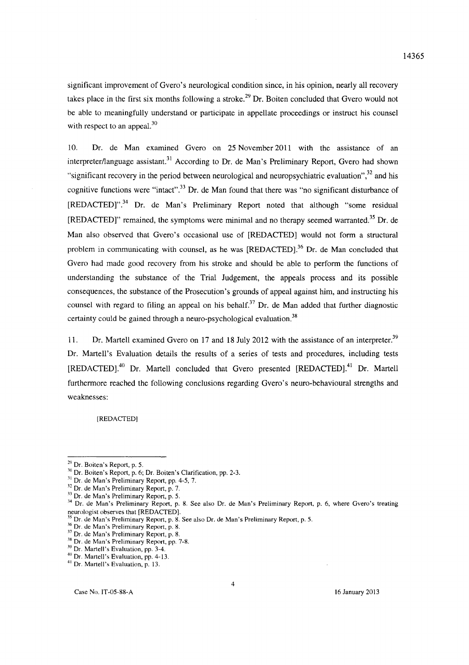significant improvement of Gvero's neurological condition since, in his opinion, nearly all recovery takes place in the first six months following a stroke.<sup>29</sup> Dr. Boiten concluded that Gvero would not be able to meaningfully understand or participate in appellate proceedings or instruct his counsel with respect to an appeal.<sup>30</sup>

10. Dr. de Man examined Gvero on 25 November 2011 with the assistance of an interpreter/language assistant.<sup>31</sup> According to Dr. de Man's Preliminary Report, Gvero had shown "significant recovery in the period between neurological and neuropsychiatric evaluation",  $3<sup>2</sup>$  and his cognitive functions were "intact".<sup>33</sup> Dr. de Man found that there was "no significant disturbance of  $[REDACTED]$ <sup>34</sup> Dr. de Man's Preliminary Report noted that although "some residual [REDACTED]" remained, the symptoms were minimal and no therapy seemed warranted.<sup>35</sup> Dr. de Man also observed that Gvero's occasional use of [REDACTED] would not form a structural problem in communicating with counsel, as he was [REDACTED].<sup>36</sup> Dr. de Man concluded that Gvero had made good recovery from his stroke and should be able to perform the functions of understanding the substance of the Trial Judgement, the appeals process and its possible consequences, the substance of the Prosecution's grounds of appeal against him, and instructing his counsel with regard to filing an appeal on his behalf.<sup>37</sup> Dr. de Man added that further diagnostic certainty could be gained through a neuro-psychological evaluation.<sup>38</sup>

11. Dr. Martell examined Gvero on 17 and 18 July 2012 with the assistance of an interpreter.<sup>39</sup> Dr. Martell's Evaluation details the results of a series of tests and procedures, including tests [REDACTED].<sup>40</sup> Dr. Martell concluded that Gvero presented [REDACTED].<sup>41</sup> Dr. Martell furthermore reached the following conclusions regarding Gvero's neuro-behavioural strengths and weaknesses:

[REOACTEO]

 $29$  Dr. Boiten's Report, p. 5.

<sup>&</sup>lt;sup>30</sup> Dr. Boiten's Report, p. 6; Dr. Boiten's Clarification, pp. 2-3.

 $11$  Dr. de Man's Preliminary Report, pp. 4-5, 7.

 $12^2$  Dr. de Man's Preliminary Report, p. 7.

<sup>&</sup>lt;sup>55</sup> Dr. de Man's Preliminary Report, p. 5.

<sup>&</sup>lt;sup>34</sup> Dr. de Man's Preliminary Report, p. 8. See also Dr. de Man's Preliminary Report, p. 6, where Gvero's treating neurologist observes that [REDACTED].

Dr. de Man's Preliminary Report, p. 8. See also Dr. de Man's Preliminary Report, p. 5.

<sup>36</sup> Or. de Man's Preliminary Report, p. 8.

<sup>37</sup> Or. de Man's Preliminary Report, p. 8.

<sup>&</sup>lt;sup>38</sup> Dr. de Man's Preliminary Report, pp. 7-8.

<sup>&</sup>lt;sup>39</sup> Dr. Martell's Evaluation, pp. 3-4.

<sup>40</sup> Dr. Martell's Evaluation, pp. 4-13.

<sup>&</sup>lt;sup>41</sup> Dr. Martell's Evaluation, p. 13.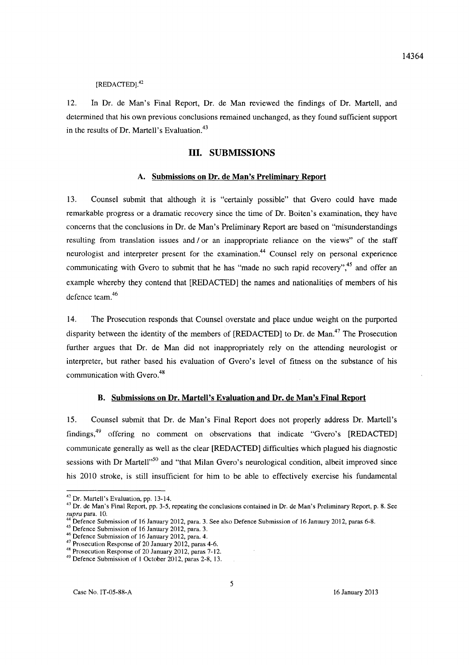# [REDACTED].<sup>42</sup>

12. In Dr. de Man's Final Report, Dr. de Man reviewed the findings of Dr. Martell, and determined that his own previous conclusions remained unchanged, as they found sufficient support in the results of Dr. Martell's Evaluation.<sup>43</sup>

# Ill. SUBMISSIONS

### A. Submissions on Dr. de Man's Preliminary Report

13. Counsel submit that although it is "certainly possible" that Gvero could have made remarkable progress or a dramatic recovery since the time of Dr. Boiten's examination, they have concerns that the conclusions in Dr. de Man's Preliminary Report are based on "misunderstandings resulting from translation issues and / or an inappropriate reliance on the views" of the staff neurologist and interpreter present for the examination.<sup>44</sup> Counsel rely on personal experience communicating with Gvero to submit that he has "made no such rapid recovery",<sup>45</sup> and offer an example whereby they contend that [REDACTED] the names and nationalities of members of his defence team.<sup>46</sup>

14. The Prosecution responds that Counsel overstate and place undue weight on the purported disparity between the identity of the members of [REDACTED] to Dr. de Man.<sup>47</sup> The Prosecution further argues that Dr. de Man did not inappropriately rely on the attending neurologist or interpreter, but rather based his evaluation of Gvero's level of fitness on the substance of his communication with Gvero.<sup>48</sup>

### B. Submissions on Dr. Martell's Evaluation and Dr. de Man's Final Report

15. Counsel submit that Dr. de Man's Final Report does not properly address Dr. Martell's findings,49 offering no comment on observations that indicate "Gvero's [REDACTED] communicate generally as well as the clear [REDACTED] difficulties which plagued his diagnostic sessions with Dr Martell<sup>150</sup> and "that Milan Gvero's neurological condition, albeit improved since his 2010 stroke, is still insufficient for him to be able to effectively exercise his fundamental

<sup>42</sup> Dr. Martell's Evaluation, pp. 13-14.

<sup>&</sup>lt;sup>43</sup> Dr. de Man's Final Report, pp. 3-5, repeating the conclusions contained in Dr. de Man's Preliminary Report, p. 8. See *supra* para. 10.

Defence Submission of 16 January 2012, para. 3. See also Defence Submission of 16 January 2012, paras 6-8.

<sup>45</sup> Defence Submission of 16 January 2012, para. 3.

<sup>&</sup>lt;sup>46</sup> Defence Submission of 16 January 2012, para. 4.

 $47$  Prosecution Response of 20 January 2012, paras 4-6.

<sup>&</sup>lt;sup>48</sup> Prosecution Response of 20 January 2012, paras 7-12.

<sup>49</sup> Defence Submission of 1 October 2012, paras 2-8, 13.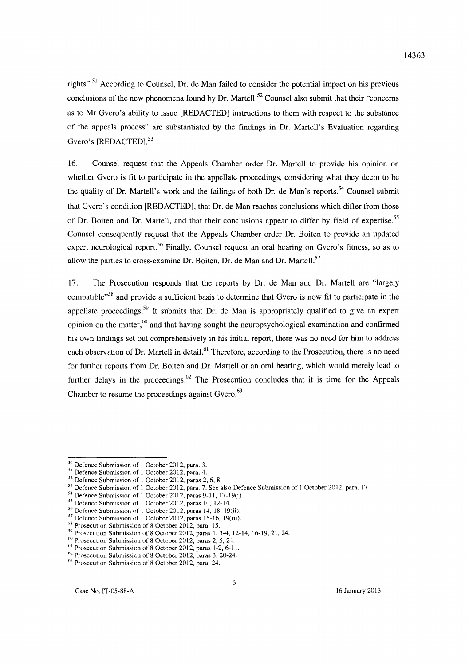rights".<sup>51</sup> According to Counsel, Dr. de Man failed to consider the potential impact on his previous conclusions of the new phenomena found by Dr. Martell.<sup>52</sup> Counsel also submit that their "concerns" as to Mr Gvero's ability to issue [REDACTED] instructions to them with respect to the substance of the appeals process" are substantiated by the findings in Dr. Martell's Evaluation regarding Gvero's [REDACTED].<sup>53</sup>

16. Counsel request that the Appeals Chamber order Dr. Martell to provide his opinion on whether Gvero is fit to participate in the appellate proceedings, considering what they deem to be the quality of Dr. Martell's work and the failings of both Dr. de Man's reports.<sup>54</sup> Counsel submit that Gvero's condition [REDACTED], that Dr. de Man reaches conclusions which differ from those of Dr. Boiten and Dr. Martell, and that their conclusions appear to differ by field of expertise.<sup>55</sup> Counsel consequently request that the Appeals Chamber order Dr. Boiten to provide an updated expert neurological report.<sup>56</sup> Finally, Counsel request an oral hearing on Gvero's fitness, so as to allow the parties to cross-examine Dr. Boiten, Dr. de Man and Dr. Martell.<sup>57</sup>

17. The Prosecution responds that the reports by Dr. de Man and Dr. Martell are "largely compatible<sup>158</sup> and provide a sufficient basis to determine that Gvero is now fit to participate in the appellate proceedings.<sup>59</sup> It submits that Dr. de Man is appropriately qualified to give an expert opinion on the matter,<sup>60</sup> and that having sought the neuropsychological examination and confirmed his own findings set out comprehensively in his initial report, there was no need for him to address each observation of Dr. Martell in detail.<sup>61</sup> Therefore, according to the Prosecution, there is no need for further reports from Dr. Boiten and Dr. Martell or an oral hearing, which would merely lead to further delays in the proceedings.<sup>62</sup> The Prosecution concludes that it is time for the Appeals Chamber to resume the proceedings against Gvero. $63$ 

 $50$  Defence Submission of 1 October 2012, para. 3.

<sup>&</sup>lt;sup>51</sup> Defence Submission of 1 October 2012, para. 4.

<sup>&</sup>lt;sup>52</sup> Defence Submission of 1 October 2012, paras 2, 6, 8.

<sup>51</sup> Defence Submission of 1 October 2012, para. 7. *See* also Defence Submission of 1 October 2012, para. 17.

 $54$  Defence Submission of 1 October 2012, paras 9-11, 17-19(i).

<sup>55</sup> Defence Submission of 1 October 2012, paras 10, 12-14.

<sup>&</sup>lt;sup>56</sup> Defence Submission of 1 October 2012, paras 14, 18, 19(ii).

 $57$  Defence Submission of 1 October 2012, paras 15-16, 19(iii).

<sup>&</sup>lt;sup>58</sup> Prosecution Submission of 8 October 2012, para. 15.

 $59$  Prosecution Submission of 8 October 2012, paras 1, 3-4, 12-14, 16-19, 21, 24.

<sup>&</sup>lt;sup>60</sup> Prosecution Submission of 8 October 2012, paras 2, 5, 24.

 $61$  Prosecution Submission of 8 October 2012, paras 1-2, 6-11.

 $62$  Prosecution Submission of 8 October 2012, paras 3, 20-24.

<sup>&</sup>lt;sup>63</sup> Prosecution Submission of 8 October 2012, para. 24.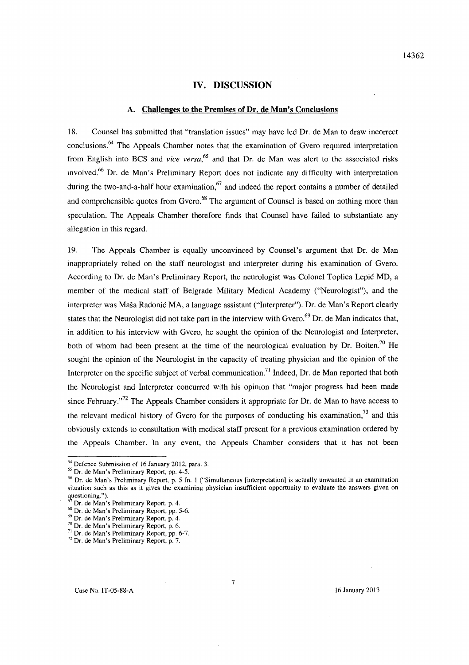## **IV. DISCUSSION**

### **A. Challenges to the Premises** of Dr. **de Man's Conclusions**

18. Counsel has submitted that "translation issues" may have led Dr. de Man to draw incorrect conclusions.<sup>64</sup> The Appeals Chamber notes that the examination of Gvero required interpretation from English into BCS and *vice versa*,<sup>65</sup> and that Dr. de Man was alert to the associated risks involved.66 Dr. de Man's Preliminary Report does not indicate any difficulty with interpretation during the two-and-a-half hour examination,<sup>67</sup> and indeed the report contains a number of detailed and comprehensible quotes from Gvero.<sup>68</sup> The argument of Counsel is based on nothing more than speculation. The Appeals Chamber therefore finds that Counsel have failed to substantiate any allegation in this regard.

19. The Appeals Chamber is equally unconvinced by Counsel's argument that Dr. de Man inappropriately relied on the staff neurologist and interpreter during his examination of Gvero. According to Dr. de Man's Preliminary Report, the neurologist was Colonel Toplica Lepic MD, a member of the medical staff of Belgrade Military Medical Academy ("Neurologist"), and the interpreter was Maša Radonić MA, a language assistant ("Interpreter"). Dr. de Man's Report clearly states that the Neurologist did not take part in the interview with Gvero.<sup>69</sup> Dr. de Man indicates that, in addition to his interview with Gvero, he sought the opinion of the Neurologist and Interpreter, both of whom had been present at the time of the neurological evaluation by Dr. Boiten.<sup>70</sup> He sought the opinion of the Neurologist in the capacity of treating physician and the opinion of the Interpreter on the specific subject of verbal communication.<sup>71</sup> Indeed, Dr. de Man reported that both the Neurologist and Interpreter concurred with his opinion that "major progress had been made since February."<sup>72</sup> The Appeals Chamber considers it appropriate for Dr. de Man to have access to the relevant medical history of Gvero for the purposes of conducting his examination, $^{73}$  and this obviously extends to consultation with medical staff present for a previous examination ordered by the Appeals Chamber. In any event, the Appeals Chamber considers that it has not been

<sup>64</sup> Oefence Submission of 16 January 2012, para. 3.

<sup>65</sup> Or. de Man's Preliminary Report, pp. 4-5.

<sup>66</sup> Or. de Man's Preliminary Report, p. 5 fn. I ("Simultaneous [interpretation] is actually unwanted in an examination situation such as this as it gives the examining physician insufficient opportunity to evaluate the answers given on questioning.").

 $\int$  Dr. de Man's Preliminary Report, p. 4.

<sup>&</sup>lt;sup>68</sup> Dr. de Man's Preliminary Report, pp. 5-6.

<sup>69</sup> Dr. de Man's Preliminary Report, p. 4.

 $70$  Dr. de Man's Preliminary Report, p. 6.

 $'$ <sup>1</sup> Dr. de Man's Preliminary Report, pp. 6-7.

<sup>72</sup> Dr. de Man's Preliminary Report, p. 7.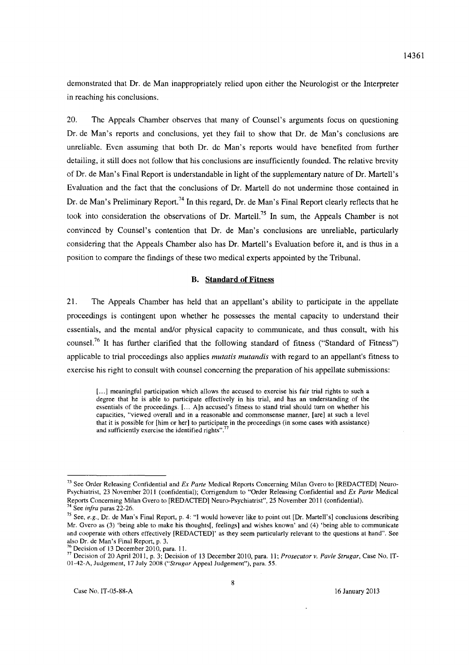demonstrated that Dr. de Man inappropriately relied upon either the Neurologist or the Interpreter in reaching his conclusions.

20. The Appeals Chamber observes that many of Counsel's arguments focus on questioning Dr. de Man's reports and conclusions, yet they fail to show that Dr. de Man's conclusions are unreliable. Even assuming that both Or. de Man's reports would have benefited from further detailing, it still does not follow that his conclusions are insufficiently founded. The relative brevity of Dr. de Man's Final Report is understandable in light of the supplementary nature of Dr. Martell's Evaluation and the fact that the conclusions of Dr. Martell do not undermine those contained in Dr. de Man's Preliminary Report.<sup>74</sup> In this regard, Dr. de Man's Final Report clearly reflects that he took into consideration the observations of Or. Martell?5 **In** sum, the Appeals Chamber is not convinced by Counsel's contention that Or. de Man's conclusions are unreliable, particularly considering that the Appeals Chamber also has Dr. Martell's Evaluation before it, and is thus in a position to compare the findings of these two medical experts appointed by the Tribunal.

#### **B. Standard of Fitness**

21. The Appeals Chamber has held that an appellant's ability to participate in the appellate proceedings is contingent upon whether he possesses the mental capacity to understand their essentials, and the mental and/or physical capacity to communicate, and thus consult, with his counsel.<sup>76</sup>**It** has further clarified that the following standard of fitness ("Standard of Fitness") applicable to trial proceedings also applies *mutatis mutandis* with regard to an appellant's fitness to exercise his right to consult with counsel concerning the preparation of his appellate submissions:

[...] meaningful participation which allows the accused to exercise his fair trial rights to such a degree that he is able to participate effectively in his trial, and has an understanding of the essentials of the proceedings. [... A]n accused's fitness to stand trial should turn on whether his capacities, "viewed overall and in a reasonable and commonsense manner, [are] at such a level that it is possible for [him or her] to participate in the proceedings (in some cases with assistance) and sufficiently exercise the identified rights".

<sup>&</sup>lt;sup>73</sup> See Order Releasing Confidential and *Ex Parte* Medical Reports Concerning Milan Gvero to [REDACTED] Neuro-Psychiatrist, 23 November 2011 (confidential); Corrigendum to "Order Releasing Confidential and *Ex Parte* Medical Reports Concerning Milan Gvero to [RED ACTED] Neuro-Psychiatrist", 25 November 2011 (confidential).

<sup>74</sup> See *infra* paras 22-26.

<sup>&</sup>lt;sup>75</sup> See, *e.g.*, Dr. de Man's Final Report, p. 4: "I would however like to point out [Dr. Martell's] conclusions describing Mr. Gvero as (3) 'being able to make his thoughts[, feelings] and wishes known' and (4) 'being able to communicate and cooperate with others effectively [REDACTED]' as they seem particularly relevant to the questions at hand". See also Dr. de Man's Final Report, p. 3.<br> $\frac{76}{76}$  Designed and  $\frac{6}{76}$  Designed and  $\frac{6}{76}$ 

Decision of 13 December 2010, para. 11.

<sup>77</sup> Decision of 20 April 2011, p. 3; Decision of 13 December 2010, para. 11; *Prosecutor v. Pavle Strugar,* Case No. IT-01-42-A, Judgement, 17 July 2008 *("Strugar* Appeal Judgement"), para. 55.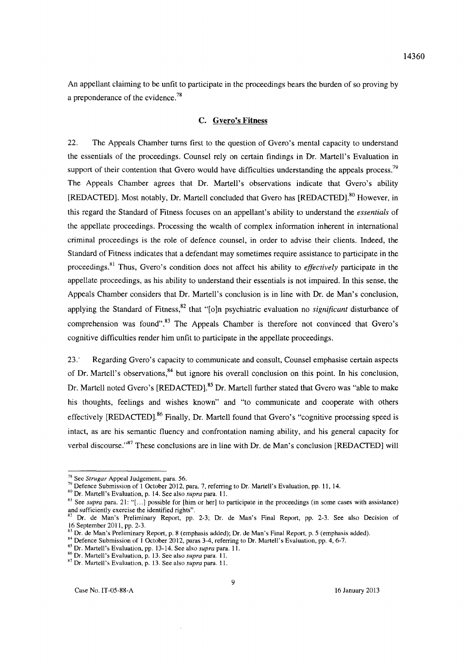An appellant claiming to be unfit to participate in the proceedings bears the burden of so proving by a preponderance of the evidence.<sup>78</sup>

### C. Gvero's Fitness

22. The Appeals Chamber turns first to the question of Gvero's mental capacity to understand the essentials of the proceedings. Counsel rely on certain findings in Dr. Martell's Evaluation in support of their contention that Gvero would have difficulties understanding the appeals process.<sup>79</sup> The Appeals Chamber agrees that Dr. Martell's observations indicate that Gvero's ability [REDACTED]. Most notably, Dr. Martell concluded that Gvero has [REDACTED].<sup>80</sup> However, in this regard the Standard of Fitness focuses on an appellant's ability to understand the *essentials* of the appellate proceedings. Processing the wealth of complex information inherent in international criminal proceedings is the role of defence counsel, in order to advise their clients. Indeed, the Standard of Fitness indicates that a defendant may sometimes require assistance to participate in the proceedings.81 Thus, Gvero's condition does not affect his ability to *effectively* participate in the appellate proceedings, as his ability to understand their essentials is not impaired. In this sense, the Appeals Chamber considers that Dr. Martell's conclusion is in line with Dr. de Man's conclusion, applying the Standard of Fitness,<sup>82</sup> that "[o]n psychiatric evaluation no *significant* disturbance of comprehension was found".<sup>83</sup> The Appeals Chamber is therefore not convinced that Gvero's cognitive difficulties render him unfit to participate in the appellate proceedings.

23.' Regarding Gvero's capacity to communicate and consult, Counsel emphasise certain aspects of Dr. Martell's observations,<sup>84</sup> but ignore his overall conclusion on this point. In his conclusion, Dr. Martell noted Gvero's [REDACTED].<sup>85</sup> Dr. Martell further stated that Gvero was "able to make his thoughts, feelings and wishes known" and "to communicate and cooperate with others effectively [REDACTED].<sup>86</sup> Finally, Dr. Martell found that Gvero's "cognitive processing speed is intact, as are his semantic fluency and confrontation naming ability, and his general capacity for verbal discourse."<sup>87</sup> These conclusions are in line with Dr. de Man's conclusion [REDACTED] will

<sup>78</sup> See *Strugar* Appeal Judgement, para. 56.

 $79$  Defence Submission of 1 October 2012, para. 7, referring to Dr. Martell's Evaluation, pp. 11, 14.

<sup>&</sup>lt;sup>80</sup> Dr. Martell's Evaluation, p. 14. See also *supra* para. 11.

<sup>&</sup>lt;sup>81</sup> See *supra* para. 21: "[...] possible for [him or her] to participate in the proceedings (in some cases with assistance) and sufficiently exercise the identified rights".

Dr. de Man's Preliminary Report, pp. 2-3; Dr. de Man's Final Report, pp. 2-3. See also Decision of 16 September 201 1, pp. 2-3.

<sup>&</sup>lt;sup>53</sup> Dr. de Man's Preliminary Report, p. 8 (emphasis added); Dr. de Man's Final Report, p. 5 (emphasis added).

<sup>&</sup>lt;sup>84</sup> Defence Submission of 1 October 2012, paras 3-4, referring to Dr. Martell's Evaluation, pp. 4, 6-7.

<sup>&</sup>lt;sup>85</sup> Dr. Martell's Evaluation, pp. 13-14. See also *supra* para. 11.

<sup>86</sup> Or. Martel\'s Evaluation, p. 13. See also *supra* para. 11.

<sup>87</sup> Dr. Martell's Evaluation, p. 13. See also *supra* para. 11.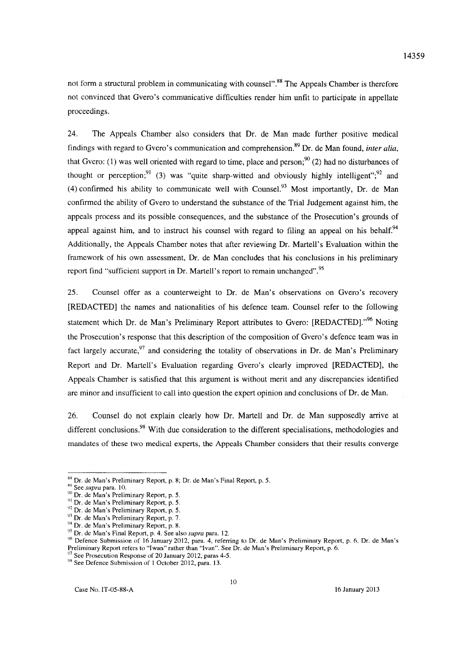not form a structural problem in communicating with counsel".<sup>88</sup> The Appeals Chamber is therefore not convinced that Gvero's communicative difficulties render him unfit to participate in appellate proceedings.

24. The Appeals Chamber also considers that Dr. de Man made further positive medical findings with regard to Gvero's communication and comprehension.89 Dr. de Man found, *inter alia,*  that Gvero: (1) was well oriented with regard to time, place and person;<sup>90</sup> (2) had no disturbances of thought or perception;  $(3)$  was "quite sharp-witted and obviously highly intelligent";  $(3)$  and (4) confirmed his ability to communicate well with Counsel.<sup>93</sup> Most importantly, Dr. de Man confirmed the ability of Gvero to understand the substance of the Trial Judgement against him, the appeals process and its possible consequences, and the substance of the Prosecution's grounds of appeal against him, and to instruct his counsel with regard to filing an appeal on his behalf.<sup>94</sup> Additionally, the Appeals Chamber notes that after reviewing Dr. Martell's Evaluation within the framework of his own assessment, Dr. de Man concludes that his conclusions in his preliminary report find "sufficient support in Dr. Martell's report to remain unchanged".95

25. Counsel offer as a counterweight to Dr. de Man's observations on Gvero's recovery [REDACTED] the names and nationalities of his defence team. Counsel refer to the following statement which Dr. de Man's Preliminary Report attributes to Gvero: [REDACTED]."<sup>96</sup> Noting the Prosecution's response that this description of the composition of Gvero's defence team was in fact largely accurate,  $97$  and considering the totality of observations in Dr. de Man's Preliminary Report and Dr. Martell's Evaluation regarding Gvero's clearly improved [REDACTED], the Appeals Chamber is satisfied that this argument is without merit and any discrepancies identified are minor and insufficient to call into question the expert opinion and conclusions of Dr. de Man.

26. Counsel do not explain clearly how Dr. Martell and Dr. de Man supposedly arrive at different conclusions.<sup>98</sup> With due consideration to the different specialisations, methodologies and mandates of these two medical experts, the Appeals Chamber considers that their results converge

<sup>&</sup>lt;sup>88</sup> Dr. de Man's Preliminary Report, p. 8; Dr. de Man's Final Report, p. 5.

K9 See *supra* para. 10.

<sup>90</sup> Or. de Man's Preliminary Report, p. 5.

<sup>91</sup> Or. de Man's Preliminary Report, p. 5.

<sup>&</sup>lt;sup>92</sup> Dr. de Man's Preliminary Report, p. 5.

<sup>93</sup> Dr. de Man's Preliminary Report, p. 7.

<sup>&</sup>lt;sup>94</sup> Dr. de Man's Preliminary Report, p. 8.

<sup>95</sup> Or. de Man's Final Report, p. 4. See also *supra* para. 12.

<sup>96</sup> Defence Submission of 16 January 2012, para. 4, referring to Or. de Man's Preliminary Report, p. 6. Or. de Man's Preliminary Report refers to "I wan" rather than "Ivan". See Or. de Man's Preliminary Report, p. 6.

See Prosecution Response of 20 January 2012, paras 4-5.

<sup>&</sup>lt;sup>98</sup> See Defence Submission of 1 October 2012, para. 13.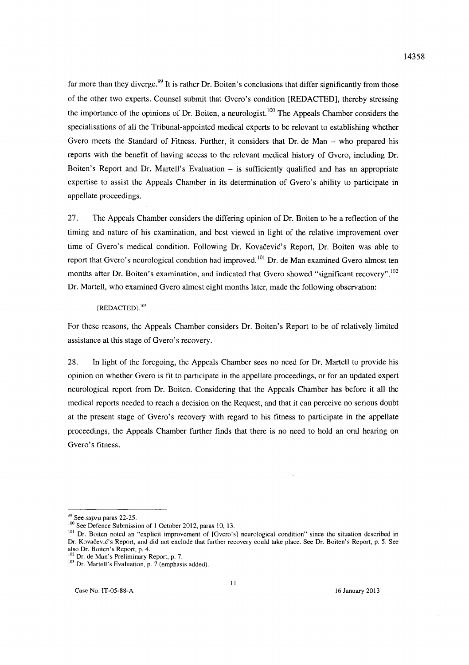far more than they diverge.<sup>99</sup> It is rather Dr. Boiten's conclusions that differ significantly from those of the other two experts. Counsel submit that Gvero's condition [REOACTEO], thereby stressing the importance of the opinions of Dr. Boiten, a neurologist.<sup>100</sup> The Appeals Chamber considers the specialisations of all the Tribunal-appointed medical experts to be relevant to establishing whether Gvero meets the Standard of Fitness. Further, it considers that Dr. de Man – who prepared his reports with the benefit of having access to the relevant medical history of Gvero, including Or. Boiten's Report and Dr. Martell's Evaluation  $-$  is sufficiently qualified and has an appropriate expertise to assist the Appeals Chamber in its determination of Gvero's ability to participate in appellate proceedings.

27. The Appeals Chamber considers the differing opinion of Or. Boiten to be a reflection of the timing and nature of his examination, and best viewed in light of the relative improvement over time of Gvero's medical condition. Following Dr. Kovačević's Report, Dr. Boiten was able to report that Gvero's neurological condition had improved.<sup>101</sup> Dr. de Man examined Gvero almost ten months after Dr. Boiten's examination, and indicated that Gvero showed "significant recovery".<sup>102</sup> Or. Martell, who examined Gvero almost eight months later, made the following observation:

#### $[REDACTED]$ .<sup>103</sup>

For these reasons, the Appeals Chamber considers Or. Boiten's Report to be of relatively limited assistance at this stage of Gvero's recovery.

28. In light of the foregoing, the Appeals Chamber sees no need for Or. Martell to provide his opinion on whether Gvero is fit to participate in the appellate proceedings, or for an updated expert neurological report from Or. Boiten. Considering that the Appeals Chamber has before it all the medical reports needed to reach a decision on the Request, and that it can perceive no serious doubt at the present stage of Gvero's recovery with regard to his fitness to participate in the appellate proceedings, the Appeals Chamber further finds that there is no need to hold an oral hearing on Gvero's fitness.

<sup>99</sup> See *supra* paras 22-25.

<sup>&</sup>lt;sup>100</sup> See Defence Submission of 1 October 2012, paras 10, 13.

<sup>&</sup>lt;sup>101</sup> Dr. Boiten noted an "explicit improvement of [Gvero's] neurological condition" since the situation described in Dr. Kovačević's Report, and did not exclude that further recovery could take place. See Dr. Boiten's Report, p. 5. See also Dr. Boiten's Report, p. 4.

 $102$  Dr. de Man's Preliminary Report, p. 7.

<sup>&</sup>lt;sup>103</sup> Dr. Martell's Evaluation, p. 7 (emphasis added).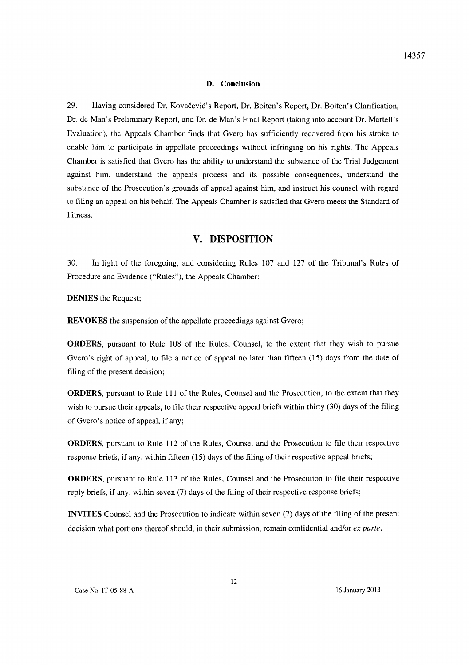#### **D. Conclusion**

29. Having considered Dr. Kovacevic's Report, Dr. Boiten's Report, Dr. Boiten's Clarification, Dr. de Man's Preliminary Report, and Dr. de Man's Final Report (taking into account Dr. Martell's Evaluation), the Appeals Chamber finds that Gvero has sufficiently recovered from his stroke to enable him to participate in appellate proceedings without infringing on his rights. The Appeals Chamber is satisfied that Gvero has the ability to understand the substance of the Trial Judgement against him, understand the appeals process and its possible consequences, understand the substance of the Prosecution's grounds of appeal against him, and instruct his counsel with regard to filing an appeal on his behalf. The Appeals Chamber is satisfied that Gvero meets the Standard of Fitness.

## **V. DISPOSITION**

30. In light of the foregoing, and considering Rules 107 and 127 of the Tribunal's Rules of Procedure and Evidence ("Rules"), the Appeals Chamber:

**DENIES** the Request;

**REVOKES** the suspension of the appellate proceedings against Gvero;

**ORDERS,** pursuant to Rule 108 of the Rules, Counsel, to the extent that they wish to pursue Gvero's right of appeal, to file a notice of appeal no later than fifteen (15) days from the date of filing of the present decision;

**ORDERS,** pursuant to Rule 111 of the Rules, Counsel and the Prosecution, to the extent that they wish to pursue their appeals, to file their respective appeal briefs within thirty (30) days of the filing of Gvero's notice of appeal, if any;

**ORDERS,** pursuant to Rule 112 of the Rules, Counsel and the Prosecution to file their respective response briefs, if any, within fifteen (15) days of the filing of their respective appeal briefs;

**ORDERS,** pursuant to Rule 113 of the Rules, Counsel and the Prosecution to file their respective reply briefs, if any, within seven (7) days of the filing of their respective response briefs;

**INVITES** Counsel and the Prosecution to indicate within seven (7) days of the filing of the present decision what portions thereof should, in their submission, remain confidential and/or *ex parte.* 

12